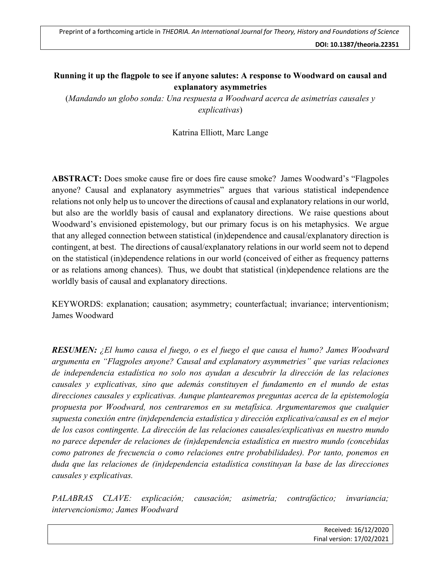## **Running it up the flagpole to see if anyone salutes: A response to Woodward on causal and explanatory asymmetries**

(*Mandando un globo sonda: Una respuesta a Woodward acerca de asimetrías causales y explicativas*)

Katrina Elliott, Marc Lange

**ABSTRACT:** Does smoke cause fire or does fire cause smoke? James Woodward's "Flagpoles anyone? Causal and explanatory asymmetries" argues that various statistical independence relations not only help us to uncover the directions of causal and explanatory relations in our world, but also are the worldly basis of causal and explanatory directions. We raise questions about Woodward's envisioned epistemology, but our primary focus is on his metaphysics. We argue that any alleged connection between statistical (in)dependence and causal/explanatory direction is contingent, at best. The directions of causal/explanatory relations in our world seem not to depend on the statistical (in)dependence relations in our world (conceived of either as frequency patterns or as relations among chances). Thus, we doubt that statistical (in)dependence relations are the worldly basis of causal and explanatory directions.

KEYWORDS: explanation; causation; asymmetry; counterfactual; invariance; interventionism; James Woodward

*RESUMEN: ¿El humo causa el fuego, o es el fuego el que causa el humo? James Woodward argumenta en "Flagpoles anyone? Causal and explanatory asymmetries" que varias relaciones de independencia estadística no solo nos ayudan a descubrir la dirección de las relaciones causales y explicativas, sino que además constituyen el fundamento en el mundo de estas direcciones causales y explicativas. Aunque plantearemos preguntas acerca de la epistemología propuesta por Woodward, nos centraremos en su metafísica. Argumentaremos que cualquier supuesta conexión entre (in)dependencia estadística y dirección explicativa/causal es en el mejor de los casos contingente. La dirección de las relaciones causales/explicativas en nuestro mundo no parece depender de relaciones de (in)dependencia estadística en nuestro mundo (concebidas como patrones de frecuencia o como relaciones entre probabilidades). Por tanto, ponemos en duda que las relaciones de (in)dependencia estadística constituyan la base de las direcciones causales y explicativas.* 

*PALABRAS CLAVE: explicación; causación; asimetría; contrafáctico; invariancia; intervencionismo; James Woodward*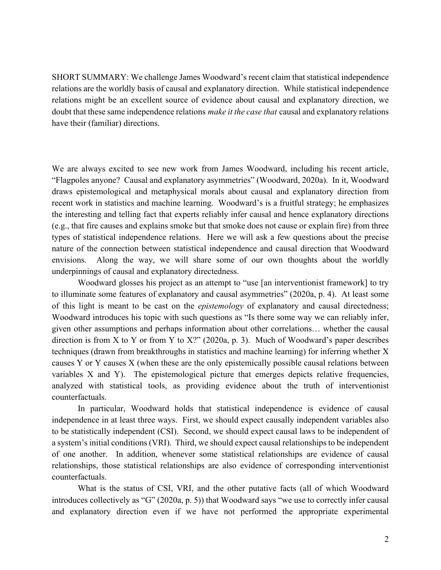SHORT SUMMARY: We challenge James Woodward's recent claim that statistical independence relations are the worldly basis of causal and explanatory direction. While statistical independence relations might be an excellent source of evidence about causal and explanatory direction, we doubt that these same independence relations *make it the case that* causal and explanatory relations have their (familiar) directions.

We are always excited to see new work from James Woodward, including his recent article, "Flagpoles anyone? Causal and explanatory asymmetries" (Woodward, 2020a). In it, Woodward draws epistemological and metaphysical morals about causal and explanatory direction from recent work in statistics and machine learning. Woodward's is a fruitful strategy; he emphasizes the interesting and telling fact that experts reliably infer causal and hence explanatory directions (e.g., that fire causes and explains smoke but that smoke does not cause or explain fire) from three types of statistical independence relations. Here we will ask a few questions about the precise nature of the connection between statistical independence and causal direction that Woodward envisions. Along the way, we will share some of our own thoughts about the worldly underpinnings of causal and explanatory directedness.

Woodward glosses his project as an attempt to "use [an interventionist framework] to try to illuminate some features of explanatory and causal asymmetries" (2020a, p. 4). At least some of this light is meant to be cast on the *epistemology* of explanatory and causal directedness; Woodward introduces his topic with such questions as "Is there some way we can reliably infer, given other assumptions and perhaps information about other correlations… whether the causal direction is from X to Y or from Y to  $X$ ?" (2020a, p. 3). Much of Woodward's paper describes techniques (drawn from breakthroughs in statistics and machine learning) for inferring whether X causes Y or Y causes X (when these are the only epistemically possible causal relations between variables X and Y). The epistemological picture that emerges depicts relative frequencies, analyzed with statistical tools, as providing evidence about the truth of interventionist counterfactuals.

In particular, Woodward holds that statistical independence is evidence of causal independence in at least three ways. First, we should expect causally independent variables also to be statistically independent (CSI). Second, we should expect causal laws to be independent of a system's initial conditions (VRI). Third, we should expect causal relationships to be independent of one another. In addition, whenever some statistical relationships are evidence of causal relationships, those statistical relationships are also evidence of corresponding interventionist counterfactuals.

What is the status of CSI, VRI, and the other putative facts (all of which Woodward introduces collectively as "G" (2020a, p. 5)) that Woodward says "we use to correctly infer causal and explanatory direction even if we have not performed the appropriate experimental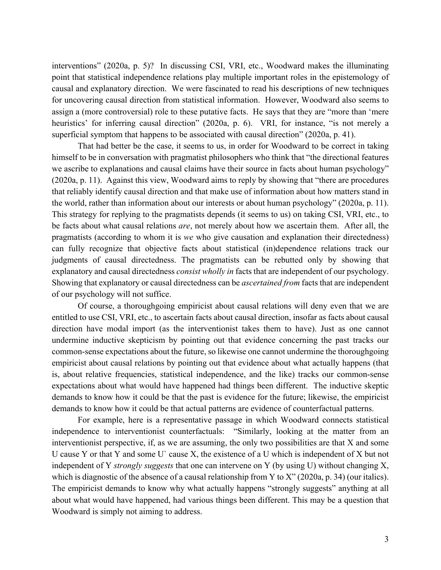interventions" (2020a, p. 5)? In discussing CSI, VRI, etc., Woodward makes the illuminating point that statistical independence relations play multiple important roles in the epistemology of causal and explanatory direction. We were fascinated to read his descriptions of new techniques for uncovering causal direction from statistical information. However, Woodward also seems to assign a (more controversial) role to these putative facts. He says that they are "more than 'mere heuristics' for inferring causal direction" (2020a, p. 6). VRI, for instance, "is not merely a superficial symptom that happens to be associated with causal direction" (2020a, p. 41).

That had better be the case, it seems to us, in order for Woodward to be correct in taking himself to be in conversation with pragmatist philosophers who think that "the directional features we ascribe to explanations and causal claims have their source in facts about human psychology" (2020a, p. 11). Against this view, Woodward aims to reply by showing that "there are procedures that reliably identify causal direction and that make use of information about how matters stand in the world, rather than information about our interests or about human psychology" (2020a, p. 11). This strategy for replying to the pragmatists depends (it seems to us) on taking CSI, VRI, etc., to be facts about what causal relations *are*, not merely about how we ascertain them. After all, the pragmatists (according to whom it is *we* who give causation and explanation their directedness) can fully recognize that objective facts about statistical (in)dependence relations track our judgments of causal directedness. The pragmatists can be rebutted only by showing that explanatory and causal directedness *consist wholly in* facts that are independent of our psychology. Showing that explanatory or causal directedness can be *ascertained from* facts that are independent of our psychology will not suffice.

Of course, a thoroughgoing empiricist about causal relations will deny even that we are entitled to use CSI, VRI, etc., to ascertain facts about causal direction, insofar as facts about causal direction have modal import (as the interventionist takes them to have). Just as one cannot undermine inductive skepticism by pointing out that evidence concerning the past tracks our common-sense expectations about the future, so likewise one cannot undermine the thoroughgoing empiricist about causal relations by pointing out that evidence about what actually happens (that is, about relative frequencies, statistical independence, and the like) tracks our common-sense expectations about what would have happened had things been different. The inductive skeptic demands to know how it could be that the past is evidence for the future; likewise, the empiricist demands to know how it could be that actual patterns are evidence of counterfactual patterns.

For example, here is a representative passage in which Woodward connects statistical independence to interventionist counterfactuals: "Similarly, looking at the matter from an interventionist perspective, if, as we are assuming, the only two possibilities are that X and some U cause Y or that Y and some U` cause X, the existence of a U which is independent of X but not independent of Y *strongly suggests* that one can intervene on Y (by using U) without changing X, which is diagnostic of the absence of a causal relationship from Y to X" (2020a, p. 34) (our italics). The empiricist demands to know why what actually happens "strongly suggests" anything at all about what would have happened, had various things been different. This may be a question that Woodward is simply not aiming to address.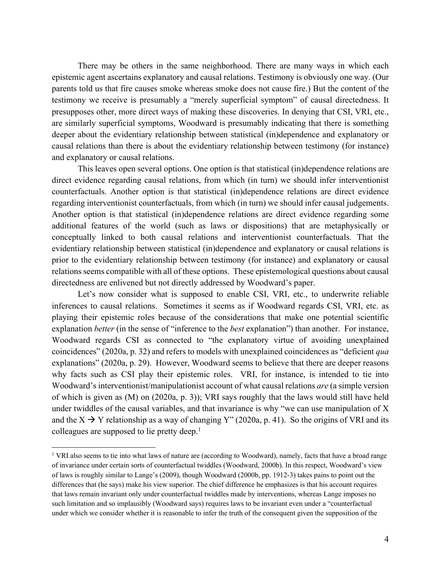There may be others in the same neighborhood. There are many ways in which each epistemic agent ascertains explanatory and causal relations. Testimony is obviously one way. (Our parents told us that fire causes smoke whereas smoke does not cause fire.) But the content of the testimony we receive is presumably a "merely superficial symptom" of causal directedness. It presupposes other, more direct ways of making these discoveries. In denying that CSI, VRI, etc., are similarly superficial symptoms, Woodward is presumably indicating that there is something deeper about the evidentiary relationship between statistical (in)dependence and explanatory or causal relations than there is about the evidentiary relationship between testimony (for instance) and explanatory or causal relations.

This leaves open several options. One option is that statistical (in)dependence relations are direct evidence regarding causal relations, from which (in turn) we should infer interventionist counterfactuals. Another option is that statistical (in)dependence relations are direct evidence regarding interventionist counterfactuals, from which (in turn) we should infer causal judgements. Another option is that statistical (in)dependence relations are direct evidence regarding some additional features of the world (such as laws or dispositions) that are metaphysically or conceptually linked to both causal relations and interventionist counterfactuals. That the evidentiary relationship between statistical (in)dependence and explanatory or causal relations is prior to the evidentiary relationship between testimony (for instance) and explanatory or causal relations seems compatible with all of these options. These epistemological questions about causal directedness are enlivened but not directly addressed by Woodward's paper.

Let's now consider what is supposed to enable CSI, VRI, etc., to underwrite reliable inferences to causal relations. Sometimes it seems as if Woodward regards CSI, VRI, etc. as playing their epistemic roles because of the considerations that make one potential scientific explanation *better* (in the sense of "inference to the *best* explanation") than another. For instance, Woodward regards CSI as connected to "the explanatory virtue of avoiding unexplained coincidences" (2020a, p. 32) and refers to models with unexplained coincidences as "deficient *qua* explanations" (2020a, p. 29). However, Woodward seems to believe that there are deeper reasons why facts such as CSI play their epistemic roles. VRI, for instance, is intended to tie into Woodward's interventionist/manipulationist account of what causal relations *are* (a simple version of which is given as (M) on (2020a, p. 3)); VRI says roughly that the laws would still have held under twiddles of the causal variables, and that invariance is why "we can use manipulation of X and the  $X \rightarrow Y$  relationship as a way of changing Y" (2020a, p. 41). So the origins of VRI and its colleagues are supposed to lie pretty deep.<sup>1</sup>

<sup>&</sup>lt;sup>1</sup> VRI also seems to tie into what laws of nature are (according to Woodward), namely, facts that have a broad range of invariance under certain sorts of counterfactual twiddles (Woodward, 2000b). In this respect, Woodward's view of laws is roughly similar to Lange's (2009), though Woodward (2000b, pp. 1912-3) takes pains to point out the differences that (he says) make his view superior. The chief difference he emphasizes is that his account requires that laws remain invariant only under counterfactual twiddles made by interventions, whereas Lange imposes no such limitation and so implausibly (Woodward says) requires laws to be invariant even under a "counterfactual under which we consider whether it is reasonable to infer the truth of the consequent given the supposition of the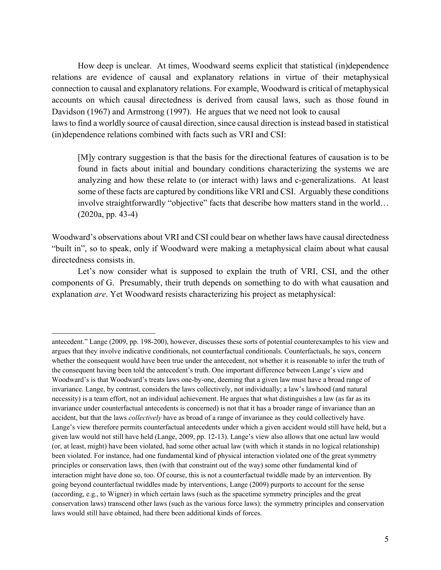How deep is unclear. At times, Woodward seems explicit that statistical (in)dependence relations are evidence of causal and explanatory relations in virtue of their metaphysical connection to causal and explanatory relations. For example, Woodward is critical of metaphysical accounts on which causal directedness is derived from causal laws, such as those found in Davidson (1967) and Armstrong (1997). He argues that we need not look to causal laws to find a worldly source of causal direction, since causal direction is instead based in statistical (in)dependence relations combined with facts such as VRI and CSI:

[M]y contrary suggestion is that the basis for the directional features of causation is to be found in facts about initial and boundary conditions characterizing the systems we are analyzing and how these relate to (or interact with) laws and c-generalizations. At least some of these facts are captured by conditions like VRI and CSI. Arguably these conditions involve straightforwardly "objective" facts that describe how matters stand in the world… (2020a, pp. 43-4)

Woodward's observations about VRI and CSI could bear on whether laws have causal directedness "built in", so to speak, only if Woodward were making a metaphysical claim about what causal directedness consists in.

Let's now consider what is supposed to explain the truth of VRI, CSI, and the other components of G. Presumably, their truth depends on something to do with what causation and explanation *are*. Yet Woodward resists characterizing his project as metaphysical:

antecedent." Lange (2009, pp. 198-200), however, discusses these sorts of potential counterexamples to his view and argues that they involve indicative conditionals, not counterfactual conditionals. Counterfactuals, he says, concern whether the consequent would have been true under the antecedent, not whether it is reasonable to infer the truth of the consequent having been told the antecedent's truth. One important difference between Lange's view and Woodward's is that Woodward's treats laws one-by-one, deeming that a given law must have a broad range of invariance. Lange, by contrast, considers the laws collectively, not individually; a law's lawhood (and natural necessity) is a team effort, not an individual achievement. He argues that what distinguishes a law (as far as its invariance under counterfactual antecedents is concerned) is not that it has a broader range of invariance than an accident, but that the laws *collectively* have as broad of a range of invariance as they could collectively have. Lange's view therefore permits counterfactual antecedents under which a given accident would still have held, but a given law would not still have held (Lange, 2009, pp. 12-13). Lange's view also allows that one actual law would (or, at least, might) have been violated, had some other actual law (with which it stands in no logical relationship) been violated. For instance, had one fundamental kind of physical interaction violated one of the great symmetry principles or conservation laws, then (with that constraint out of the way) some other fundamental kind of interaction might have done so, too. Of course, this is not a counterfactual twiddle made by an intervention. By going beyond counterfactual twiddles made by interventions, Lange (2009) purports to account for the sense (according, e.g., to Wigner) in which certain laws (such as the spacetime symmetry principles and the great conservation laws) transcend other laws (such as the various force laws): the symmetry principles and conservation laws would still have obtained, had there been additional kinds of forces.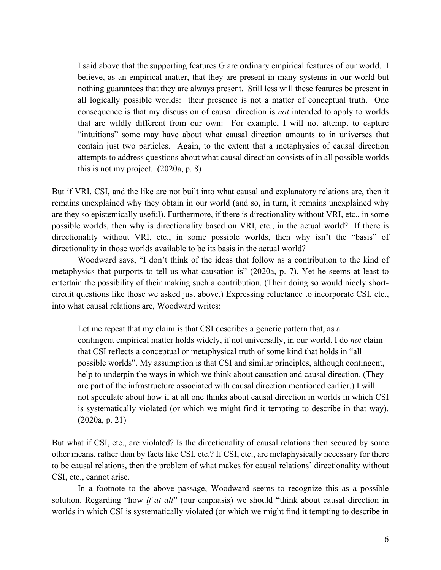I said above that the supporting features G are ordinary empirical features of our world. I believe, as an empirical matter, that they are present in many systems in our world but nothing guarantees that they are always present. Still less will these features be present in all logically possible worlds: their presence is not a matter of conceptual truth. One consequence is that my discussion of causal direction is *not* intended to apply to worlds that are wildly different from our own: For example, I will not attempt to capture "intuitions" some may have about what causal direction amounts to in universes that contain just two particles. Again, to the extent that a metaphysics of causal direction attempts to address questions about what causal direction consists of in all possible worlds this is not my project. (2020a, p. 8)

But if VRI, CSI, and the like are not built into what causal and explanatory relations are, then it remains unexplained why they obtain in our world (and so, in turn, it remains unexplained why are they so epistemically useful). Furthermore, if there is directionality without VRI, etc., in some possible worlds, then why is directionality based on VRI, etc., in the actual world? If there is directionality without VRI, etc., in some possible worlds, then why isn't the "basis" of directionality in those worlds available to be its basis in the actual world?

Woodward says, "I don't think of the ideas that follow as a contribution to the kind of metaphysics that purports to tell us what causation is" (2020a, p. 7). Yet he seems at least to entertain the possibility of their making such a contribution. (Their doing so would nicely shortcircuit questions like those we asked just above.) Expressing reluctance to incorporate CSI, etc., into what causal relations are, Woodward writes:

Let me repeat that my claim is that CSI describes a generic pattern that, as a contingent empirical matter holds widely, if not universally, in our world. I do *not* claim that CSI reflects a conceptual or metaphysical truth of some kind that holds in "all possible worlds". My assumption is that CSI and similar principles, although contingent, help to underpin the ways in which we think about causation and causal direction. (They are part of the infrastructure associated with causal direction mentioned earlier.) I will not speculate about how if at all one thinks about causal direction in worlds in which CSI is systematically violated (or which we might find it tempting to describe in that way). (2020a, p. 21)

But what if CSI, etc., are violated? Is the directionality of causal relations then secured by some other means, rather than by facts like CSI, etc.? If CSI, etc., are metaphysically necessary for there to be causal relations, then the problem of what makes for causal relations' directionality without CSI, etc., cannot arise.

In a footnote to the above passage, Woodward seems to recognize this as a possible solution. Regarding "how *if at all*" (our emphasis) we should "think about causal direction in worlds in which CSI is systematically violated (or which we might find it tempting to describe in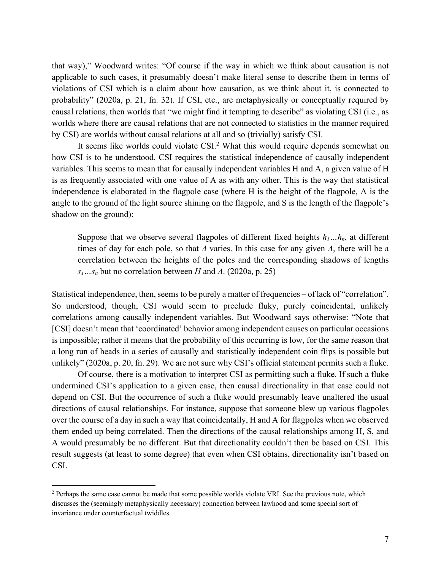that way)," Woodward writes: "Of course if the way in which we think about causation is not applicable to such cases, it presumably doesn't make literal sense to describe them in terms of violations of CSI which is a claim about how causation, as we think about it, is connected to probability" (2020a, p. 21, fn. 32). If CSI, etc., are metaphysically or conceptually required by causal relations, then worlds that "we might find it tempting to describe" as violating CSI (i.e., as worlds where there are causal relations that are not connected to statistics in the manner required by CSI) are worlds without causal relations at all and so (trivially) satisfy CSI.

It seems like worlds could violate CSI.<sup>2</sup> What this would require depends somewhat on how CSI is to be understood. CSI requires the statistical independence of causally independent variables. This seems to mean that for causally independent variables H and A, a given value of H is as frequently associated with one value of A as with any other. This is the way that statistical independence is elaborated in the flagpole case (where H is the height of the flagpole, A is the angle to the ground of the light source shining on the flagpole, and S is the length of the flagpole's shadow on the ground):

Suppose that we observe several flagpoles of different fixed heights *h1…hn*, at different times of day for each pole, so that *A* varies. In this case for any given *A*, there will be a correlation between the heights of the poles and the corresponding shadows of lengths  $s_1...s_n$  but no correlation between *H* and *A*. (2020a, p. 25)

Statistical independence, then, seems to be purely a matter of frequencies – of lack of "correlation". So understood, though, CSI would seem to preclude fluky, purely coincidental, unlikely correlations among causally independent variables. But Woodward says otherwise: "Note that [CSI] doesn't mean that 'coordinated' behavior among independent causes on particular occasions is impossible; rather it means that the probability of this occurring is low, for the same reason that a long run of heads in a series of causally and statistically independent coin flips is possible but unlikely" (2020a, p. 20, fn. 29). We are not sure why CSI's official statement permits such a fluke.

Of course, there is a motivation to interpret CSI as permitting such a fluke. If such a fluke undermined CSI's application to a given case, then causal directionality in that case could not depend on CSI. But the occurrence of such a fluke would presumably leave unaltered the usual directions of causal relationships. For instance, suppose that someone blew up various flagpoles over the course of a day in such a way that coincidentally, H and A for flagpoles when we observed them ended up being correlated. Then the directions of the causal relationships among H, S, and A would presumably be no different. But that directionality couldn't then be based on CSI. This result suggests (at least to some degree) that even when CSI obtains, directionality isn't based on CSI.

<sup>&</sup>lt;sup>2</sup> Perhaps the same case cannot be made that some possible worlds violate VRI. See the previous note, which discusses the (seemingly metaphysically necessary) connection between lawhood and some special sort of invariance under counterfactual twiddles.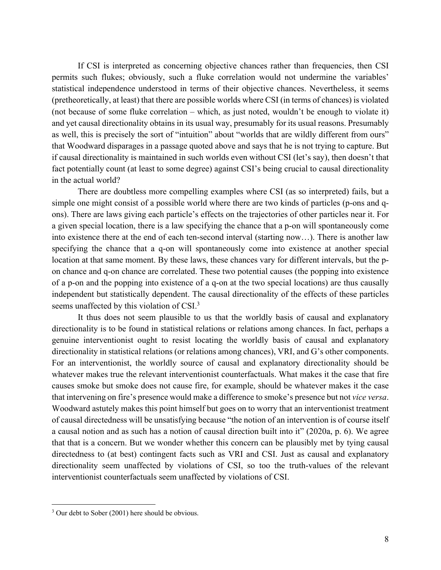If CSI is interpreted as concerning objective chances rather than frequencies, then CSI permits such flukes; obviously, such a fluke correlation would not undermine the variables' statistical independence understood in terms of their objective chances. Nevertheless, it seems (pretheoretically, at least) that there are possible worlds where CSI (in terms of chances) is violated (not because of some fluke correlation – which, as just noted, wouldn't be enough to violate it) and yet causal directionality obtains in its usual way, presumably for its usual reasons. Presumably as well, this is precisely the sort of "intuition" about "worlds that are wildly different from ours" that Woodward disparages in a passage quoted above and says that he is not trying to capture. But if causal directionality is maintained in such worlds even without CSI (let's say), then doesn't that fact potentially count (at least to some degree) against CSI's being crucial to causal directionality in the actual world?

There are doubtless more compelling examples where CSI (as so interpreted) fails, but a simple one might consist of a possible world where there are two kinds of particles (p-ons and qons). There are laws giving each particle's effects on the trajectories of other particles near it. For a given special location, there is a law specifying the chance that a p-on will spontaneously come into existence there at the end of each ten-second interval (starting now…). There is another law specifying the chance that a q-on will spontaneously come into existence at another special location at that same moment. By these laws, these chances vary for different intervals, but the pon chance and q-on chance are correlated. These two potential causes (the popping into existence of a p-on and the popping into existence of a q-on at the two special locations) are thus causally independent but statistically dependent. The causal directionality of the effects of these particles seems unaffected by this violation of CSI.<sup>3</sup>

It thus does not seem plausible to us that the worldly basis of causal and explanatory directionality is to be found in statistical relations or relations among chances. In fact, perhaps a genuine interventionist ought to resist locating the worldly basis of causal and explanatory directionality in statistical relations (or relations among chances), VRI, and G's other components. For an interventionist, the worldly source of causal and explanatory directionality should be whatever makes true the relevant interventionist counterfactuals. What makes it the case that fire causes smoke but smoke does not cause fire, for example, should be whatever makes it the case that intervening on fire's presence would make a difference to smoke's presence but not *vice versa*. Woodward astutely makes this point himself but goes on to worry that an interventionist treatment of causal directedness will be unsatisfying because "the notion of an intervention is of course itself a causal notion and as such has a notion of causal direction built into it" (2020a, p. 6). We agree that that is a concern. But we wonder whether this concern can be plausibly met by tying causal directedness to (at best) contingent facts such as VRI and CSI. Just as causal and explanatory directionality seem unaffected by violations of CSI, so too the truth-values of the relevant interventionist counterfactuals seem unaffected by violations of CSI.

<sup>&</sup>lt;sup>3</sup> Our debt to Sober (2001) here should be obvious.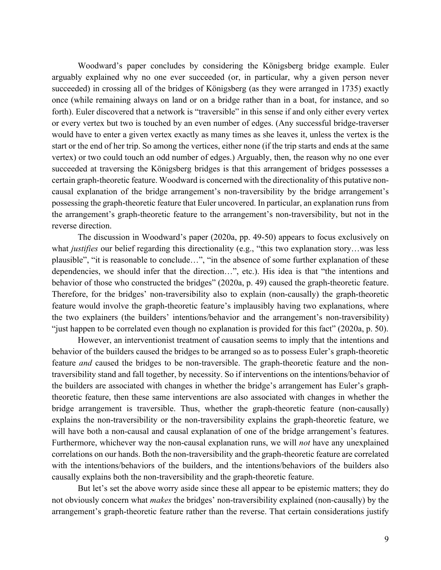Woodward's paper concludes by considering the Königsberg bridge example. Euler arguably explained why no one ever succeeded (or, in particular, why a given person never succeeded) in crossing all of the bridges of Königsberg (as they were arranged in 1735) exactly once (while remaining always on land or on a bridge rather than in a boat, for instance, and so forth). Euler discovered that a network is "traversible" in this sense if and only either every vertex or every vertex but two is touched by an even number of edges. (Any successful bridge-traverser would have to enter a given vertex exactly as many times as she leaves it, unless the vertex is the start or the end of her trip. So among the vertices, either none (if the trip starts and ends at the same vertex) or two could touch an odd number of edges.) Arguably, then, the reason why no one ever succeeded at traversing the Königsberg bridges is that this arrangement of bridges possesses a certain graph-theoretic feature. Woodward is concerned with the directionality of this putative noncausal explanation of the bridge arrangement's non-traversibility by the bridge arrangement's possessing the graph-theoretic feature that Euler uncovered. In particular, an explanation runs from the arrangement's graph-theoretic feature to the arrangement's non-traversibility, but not in the reverse direction.

The discussion in Woodward's paper (2020a, pp. 49-50) appears to focus exclusively on what *justifies* our belief regarding this directionality (e.g., "this two explanation story…was less plausible", "it is reasonable to conclude…", "in the absence of some further explanation of these dependencies, we should infer that the direction…", etc.). His idea is that "the intentions and behavior of those who constructed the bridges" (2020a, p. 49) caused the graph-theoretic feature. Therefore, for the bridges' non-traversibility also to explain (non-causally) the graph-theoretic feature would involve the graph-theoretic feature's implausibly having two explanations, where the two explainers (the builders' intentions/behavior and the arrangement's non-traversibility) "just happen to be correlated even though no explanation is provided for this fact" (2020a, p. 50).

However, an interventionist treatment of causation seems to imply that the intentions and behavior of the builders caused the bridges to be arranged so as to possess Euler's graph-theoretic feature *and* caused the bridges to be non-traversible. The graph-theoretic feature and the nontraversibility stand and fall together, by necessity. So if interventions on the intentions/behavior of the builders are associated with changes in whether the bridge's arrangement has Euler's graphtheoretic feature, then these same interventions are also associated with changes in whether the bridge arrangement is traversible. Thus, whether the graph-theoretic feature (non-causally) explains the non-traversibility or the non-traversibility explains the graph-theoretic feature, we will have both a non-causal and causal explanation of one of the bridge arrangement's features. Furthermore, whichever way the non-causal explanation runs, we will *not* have any unexplained correlations on our hands. Both the non-traversibility and the graph-theoretic feature are correlated with the intentions/behaviors of the builders, and the intentions/behaviors of the builders also causally explains both the non-traversibility and the graph-theoretic feature.

But let's set the above worry aside since these all appear to be epistemic matters; they do not obviously concern what *makes* the bridges' non-traversibility explained (non-causally) by the arrangement's graph-theoretic feature rather than the reverse. That certain considerations justify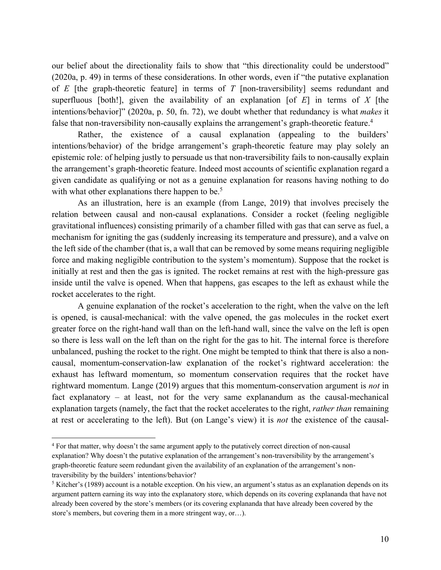our belief about the directionality fails to show that "this directionality could be understood" (2020a, p. 49) in terms of these considerations. In other words, even if "the putative explanation of *E* [the graph-theoretic feature] in terms of *T* [non-traversibility] seems redundant and superfluous [both!], given the availability of an explanation [of *E*] in terms of *X* [the intentions/behavior]" (2020a, p. 50, fn. 72), we doubt whether that redundancy is what *makes* it false that non-traversibility non-causally explains the arrangement's graph-theoretic feature.<sup>4</sup>

Rather, the existence of a causal explanation (appealing to the builders' intentions/behavior) of the bridge arrangement's graph-theoretic feature may play solely an epistemic role: of helping justly to persuade us that non-traversibility fails to non-causally explain the arrangement's graph-theoretic feature. Indeed most accounts of scientific explanation regard a given candidate as qualifying or not as a genuine explanation for reasons having nothing to do with what other explanations there happen to be.<sup>5</sup>

As an illustration, here is an example (from Lange, 2019) that involves precisely the relation between causal and non-causal explanations. Consider a rocket (feeling negligible gravitational influences) consisting primarily of a chamber filled with gas that can serve as fuel, a mechanism for igniting the gas (suddenly increasing its temperature and pressure), and a valve on the left side of the chamber (that is, a wall that can be removed by some means requiring negligible force and making negligible contribution to the system's momentum). Suppose that the rocket is initially at rest and then the gas is ignited. The rocket remains at rest with the high-pressure gas inside until the valve is opened. When that happens, gas escapes to the left as exhaust while the rocket accelerates to the right.

A genuine explanation of the rocket's acceleration to the right, when the valve on the left is opened, is causal-mechanical: with the valve opened, the gas molecules in the rocket exert greater force on the right-hand wall than on the left-hand wall, since the valve on the left is open so there is less wall on the left than on the right for the gas to hit. The internal force is therefore unbalanced, pushing the rocket to the right. One might be tempted to think that there is also a noncausal, momentum-conservation-law explanation of the rocket's rightward acceleration: the exhaust has leftward momentum, so momentum conservation requires that the rocket have rightward momentum. Lange (2019) argues that this momentum-conservation argument is *not* in fact explanatory – at least, not for the very same explanandum as the causal-mechanical explanation targets (namely, the fact that the rocket accelerates to the right, *rather than* remaining at rest or accelerating to the left). But (on Lange's view) it is *not* the existence of the causal-

<sup>4</sup> For that matter, why doesn't the same argument apply to the putatively correct direction of non-causal explanation? Why doesn't the putative explanation of the arrangement's non-traversibility by the arrangement's graph-theoretic feature seem redundant given the availability of an explanation of the arrangement's nontraversibility by the builders' intentions/behavior?

<sup>5</sup> Kitcher's (1989) account is a notable exception. On his view, an argument's status as an explanation depends on its argument pattern earning its way into the explanatory store, which depends on its covering explananda that have not already been covered by the store's members (or its covering explananda that have already been covered by the store's members, but covering them in a more stringent way, or…).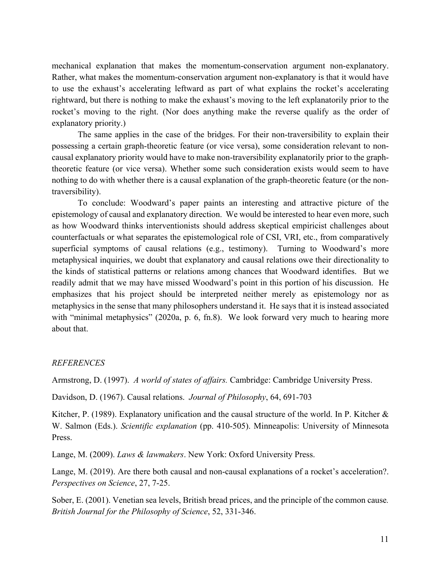mechanical explanation that makes the momentum-conservation argument non-explanatory. Rather, what makes the momentum-conservation argument non-explanatory is that it would have to use the exhaust's accelerating leftward as part of what explains the rocket's accelerating rightward, but there is nothing to make the exhaust's moving to the left explanatorily prior to the rocket's moving to the right. (Nor does anything make the reverse qualify as the order of explanatory priority.)

The same applies in the case of the bridges. For their non-traversibility to explain their possessing a certain graph-theoretic feature (or vice versa), some consideration relevant to noncausal explanatory priority would have to make non-traversibility explanatorily prior to the graphtheoretic feature (or vice versa). Whether some such consideration exists would seem to have nothing to do with whether there is a causal explanation of the graph-theoretic feature (or the nontraversibility).

To conclude: Woodward's paper paints an interesting and attractive picture of the epistemology of causal and explanatory direction. We would be interested to hear even more, such as how Woodward thinks interventionists should address skeptical empiricist challenges about counterfactuals or what separates the epistemological role of CSI, VRI, etc., from comparatively superficial symptoms of causal relations (e.g., testimony). Turning to Woodward's more metaphysical inquiries, we doubt that explanatory and causal relations owe their directionality to the kinds of statistical patterns or relations among chances that Woodward identifies. But we readily admit that we may have missed Woodward's point in this portion of his discussion. He emphasizes that his project should be interpreted neither merely as epistemology nor as metaphysics in the sense that many philosophers understand it. He says that it is instead associated with "minimal metaphysics" (2020a, p. 6, fn.8). We look forward very much to hearing more about that.

## *REFERENCES*

Armstrong, D. (1997). *A world of states of affairs.* Cambridge: Cambridge University Press.

Davidson, D. (1967). Causal relations. *Journal of Philosophy*, 64, 691-703

Kitcher, P. (1989). Explanatory unification and the causal structure of the world. In P. Kitcher  $\&$ W. Salmon (Eds.). *Scientific explanation* (pp. 410-505). Minneapolis: University of Minnesota Press.

Lange, M. (2009). *Laws & lawmakers*. New York: Oxford University Press.

Lange, M. (2019). Are there both causal and non-causal explanations of a rocket's acceleration?. *Perspectives on Science*, 27, 7-25.

Sober, E. (2001). Venetian sea levels, British bread prices, and the principle of the common cause*. British Journal for the Philosophy of Science*, 52, 331-346.